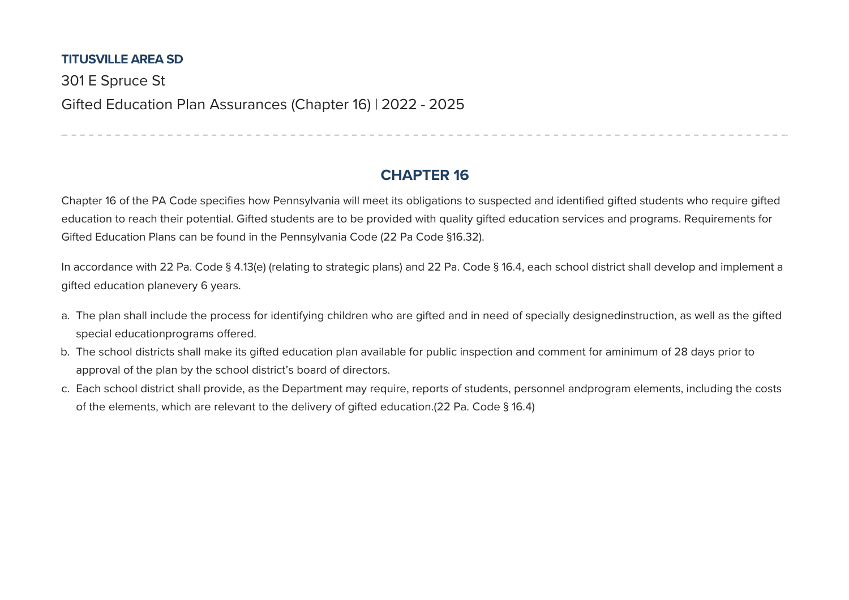## **TITUSVILLE AREA SD**

301 E Spruce St Gifted Education Plan Assurances (Chapter 16) | 2022 - 2025

## **CHAPTER 16**

------------------------------

Chapter 16 of the PA Code specifies how Pennsylvania will meet its obligations to suspected and identified gifted students who require gifted education to reach their potential. Gifted students are to be provided with quality gifted education services and programs. Requirements for Gifted Education Plans can be found in the Pennsylvania Code (22 Pa Code §16.32).

In accordance with 22 Pa. Code § 4.13(e) (relating to strategic plans) and 22 Pa. Code § 16.4, each school district shall develop and implement a gifted education planevery 6 years.

- a. The plan shall include the process for identifying children who are gifted and in need of specially designedinstruction, as well as the gifted special educationprograms offered.
- b. The school districts shall make its gifted education plan available for public inspection and comment for aminimum of 28 days prior to approval of the plan by the school district's board of directors.
- c. Each school district shall provide, as the Department may require, reports of students, personnel andprogram elements, including the costs of the elements, which are relevant to the delivery of gifted education.(22 Pa. Code § 16.4)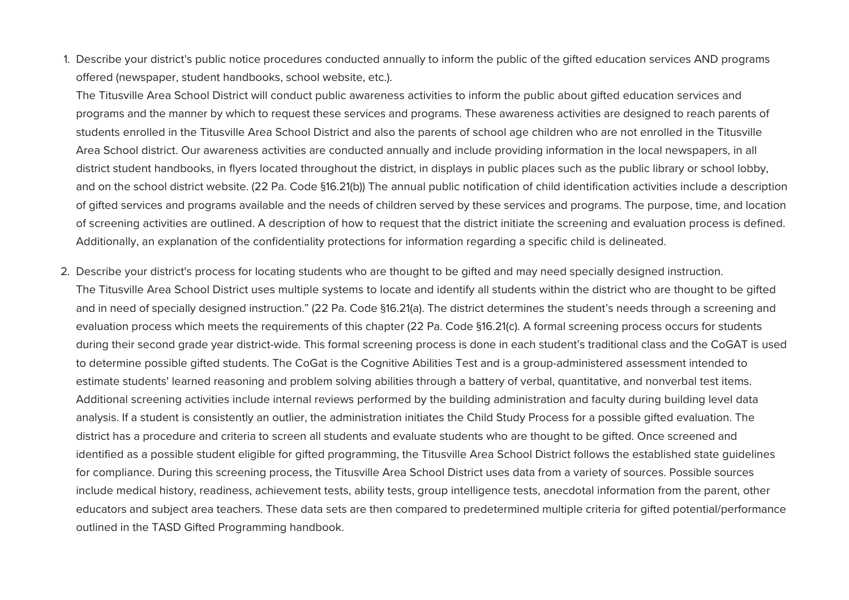1. Describe your district's public notice procedures conducted annually to inform the public of the gifted education services AND programs offered (newspaper, student handbooks, school website, etc.).

The Titusville Area School District will conduct public awareness activities to inform the public about gifted education services and programs and the manner by which to request these services and programs. These awareness activities are designed to reach parents of students enrolled in the Titusville Area School District and also the parents of school age children who are not enrolled in the Titusville Area School district. Our awareness activities are conducted annually and include providing information in the local newspapers, in all district student handbooks, in flyers located throughout the district, in displays in public places such as the public library or school lobby, and on the school district website. (22 Pa. Code §16.21(b)) The annual public notification of child identification activities include a description of gifted services and programs available and the needs of children served by these services and programs. The purpose, time, and location of screening activities are outlined. A description of how to request that the district initiate the screening and evaluation process is defined. Additionally, an explanation of the confidentiality protections for information regarding a specific child is delineated.

2. Describe your district's process for locating students who are thought to be gifted and may need specially designed instruction. The Titusville Area School District uses multiple systems to locate and identify all students within the district who are thought to be gifted and in need of specially designed instruction." (22 Pa. Code §16.21(a). The district determines the student's needs through a screening and evaluation process which meets the requirements of this chapter (22 Pa. Code §16.21(c). A formal screening process occurs for students during their second grade year district-wide. This formal screening process is done in each student's traditional class and the CoGAT is used to determine possible gifted students. The CoGat is the Cognitive Abilities Test and is a group-administered assessment intended to estimate students' learned reasoning and problem solving abilities through a battery of verbal, quantitative, and nonverbal test items. Additional screening activities include internal reviews performed by the building administration and faculty during building level data analysis. If a student is consistently an outlier, the administration initiates the Child Study Process for a possible gifted evaluation. The district has a procedure and criteria to screen all students and evaluate students who are thought to be gifted. Once screened and identified as a possible student eligible for gifted programming, the Titusville Area School District follows the established state guidelines for compliance. During this screening process, the Titusville Area School District uses data from a variety of sources. Possible sources include medical history, readiness, achievement tests, ability tests, group intelligence tests, anecdotal information from the parent, other educators and suject area teachers. These data sets are then compared to predetermined multiple criteria for gifted potential/performance outlined in the TASD Gifted Programming handbook.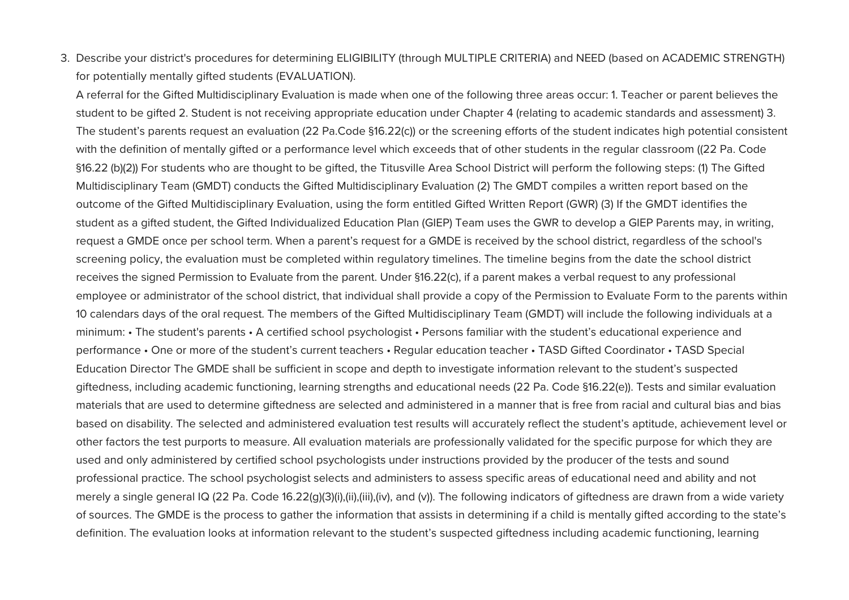3. Describe your district's procedures for determining ELIGIBILITY (through MULTIPLE CRITERIA) and NEED (based on ACADEMIC STRENGTH) for potentially mentally gifted students (EVALUATION).

A referral for the Gifted Multidisciplinary Evaluation is made when one of the following three areas occur: 1. Teacher or parent believes the student to be gifted 2. Student is not receiving appropriate education under Chapter 4 (relating to academic standards and assessment) 3. The student's parents request an evaluation (22 Pa.Code §16.22(c)) or the screening efforts of the student indicates high potential consistent with the definition of mentally gifted or a performance level which exceeds that of other students in the regular classroom ((22 Pa. Code §16.22 (b)(2)) For students who are thought to be gifted, the Titusville Area School District will perform the following steps: (1) The Gifted Multidisciplinary Team (GMDT) conducts the Gifted Multidisciplinary Evaluation (2) The GMDT compiles a written report based on the outcome of the Gifted Multidisciplinary Evaluation, using the form entitled Gifted Written Report (GWR) (3) If the GMDT identifies the student as a gifted student, the Gifted Individualized Education Plan (GIEP) Team uses the GWR to develop a GIEP Parents may, in writing, request a GMDE once per school term. When a parent's request for a GMDE is received by the school district, regardless of the school's screening policy, the evaluation must be completed within regulatory timelines. The timeline begins from the date the school district receives the signed Permission to Evaluate from the parent. Under §16.22(c), if a parent makes a verbal request to any professional employee or administrator of the school district, that individual shall provide a copy of the Permission to Evaluate Form to the parents within 10 calendars days of the oral request. The members of the Gifted Multidisciplinary Team (GMDT) will include the following individuals at a minimum: • The student's parents • A certified school psychologist • Persons familiar with the student's educational experience and performance • One or more of the student's current teachers • Regular education teacher • TASD Gifted Coordinator • TASD Special Education Director The GMDE shall be sufficient in scope and depth to investigate information relevant to the student's suspected giftedness, including academic functioning, learning strengths and educational needs (22 Pa. Code §16.22(e)). Tests and similar evaluation materials that are used to determine giftedness are selected and administered in a manner that is free from racial and cultural bias and bias based on disability. The selected and administered evaluation test results will accurately reflect the student's aptitude, achievement level or other factors the test purports to measure. All evaluation materials are professionally validated for the specific purpose for which they are used and only administered by certified school psychologists under instructions provided by the producer of the tests and sound professional practice. The school psychologist selects and administers to assess specific areas of educational need and ability and not merely a single general IQ (22 Pa. Code 16.22(g)(3)(i),(ii),(iii),(iv), and (y)). The following indicators of giftedness are drawn from a wide variety of sources. The GMDE is the process to gather the information that assists in determining if a child is mentally gifted according to the state's definition. The evaluation looks at information relevant to the student's suspected giftedness including academic functioning, learning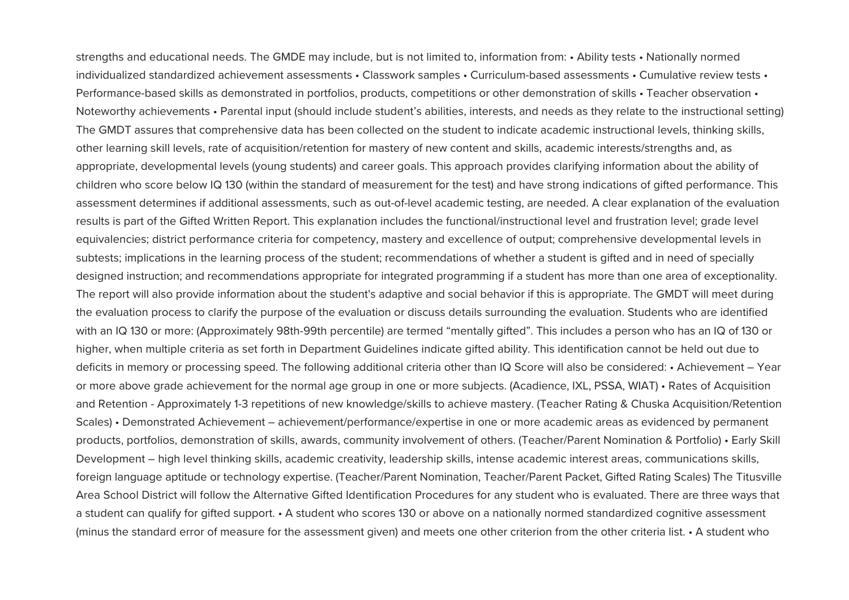strengths and educational needs. The GMDE may include, but is not limited to, information from: • Ability tests • Nationally normed individualized standardized achievement assessments • Classwork samples • Curriculum-based assessments • Cumulative review tests • Performance-based skills as demonstrated in portfolios, products, competitions or other demonstration of skills • Teacher observation • Noteworthy achievements • Parental input (should include student's abilities, interests, and needs as they relate to the instructional setting) The GMDT assures that comprehensive data has been collected on the student to indicate academic instructional levels, thinking skills, other learning skill levels, rate of acquisition/retention for mastery of new content and skills, academic interests/strengths and, as appropriate, developmental levels (young students) and career goals. This approach provides clarifying information about the ability of children who score below IQ 130 (within the standard of measurement for the test) and have strong indications of gifted performance. This assessment determines if additional assessments, such as out-of-level academic testing, are needed. A clear explanation of the evaluation results is part of the Gifted Written Report. This explanation includes the functional/instructional level and frustration level; grade level equivalencies; district performance criteria for competency, mastery and excellence of output; comprehensive developmental levels in subtests; implications in the learning process of the student; recommendations of whether a student is gifted and in need of specially designed instruction; and recommendations appropriate for integrated programming if a student has more than one area of exceptionality. The report will also provide information about the student's adaptive and social behavior if this is appropriate. The GMDT will meet during the evaluation process to clarify the purpose of the evaluation or discuss details surrounding the evaluation. Students who are identified with an IQ 130 or more: (Approximately 98th-99th percentile) are termed "mentally gifted". This includes a person who has an IQ of 130 or higher, when multiple criteria as set forth in Department Guidelines indicate gifted ability. This identification cannot be held out due to deficits in memory or processing speed. The following additional criteria other than IQ Score will also be considered: • Achievement – Year or more above grade achievement for the normal age group in one or more subjects. (Acadience, IXL, PSSA, WIAT) • Rates of Acquisition and Retention - Approximately 1-3 repetitions of new knowledge/skills to achieve mastery. (Teacher Rating & Chuska Acquisition/Retention Scales) • Demonstrated Achievement – achievement/performance/expertise in one or more academic areas as evidenced by permanent products, portfolios, demonstration of skills, awards, community involvement of others. (Teacher/Parent Nomination & Portfolio) • Early Skill Development – high level thinking skills, academic creativity, leadership skills, intense academic interest areas, communications skills, foreign language aptitude or technology expertise. (Teacher/Parent Nomination, Teacher/Parent Packet, Gifted Rating Scales) The Titusville Area School District will follow the Alternative Gifted Identification Procedures for any student who is evaluated. There are three ways that a student can qualify for gifted support.  $\cdot$  A student who scores 130 or above on a nationally normed standardized cognitive assessment (minus the standard error of measure for the assessment given) and meets one other criterion from the other criteria list. • A student who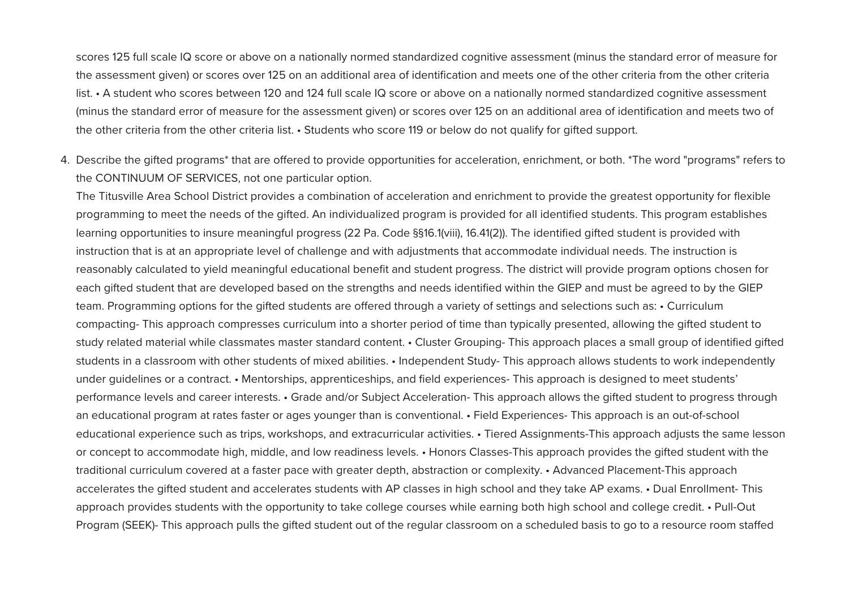scores 125 full scale IQ score or above on a nationally normed standardized cognitive assessment (minus the standard error of measure for the assessment given) or scores over 125 on an additional area of identification and meets one of the other criteria from the other criteria list. • A student who scores between 120 and 124 full scale IQ score or above on a nationally normed standardized cognitive assessment (minus the standard error of measure for the assessment given) or scores over 125 on an additional area of identification and meets two of the other criteria from the other criteria list. • Students who score 119 or below do not qualify for gifted support.

4. Describe the gifted programs\* that are offered to provide opportunities for acceleration, enrichment, or both. \*The word "programs" refers to the CONTINUUM OF SERVICES, not one particular option.

The Titusville Area School District provides a combination of acceleration and enrichment to provide the greatest opportunity for flexible programming to meet the needs of the gifted. An individualized program is provided for all identified students. This program establishes learning opportunities to insure meaningful progress (22 Pa. Code §§16.1(viii), 16.41(2)). The identified gifted student is provided with instruction that is at an appropriate level of challenge and with adjustments that accommodate individual needs. The instruction is reasonably calculated to yield meaningful educational benefit and student progress. The district will provide program options chosen for each gifted student that are developed based on the strengths and needs identified within the GIEP and must be agreed to by the GIEP team. Programming options for the gifted students are offered through a variety of settings and selections such as: • Curriculum compacting- This approach compresses curriculum into a shorter period of time than typically presented, allowing the gifted student to study related material while classmates master standard content. • Cluster Grouping- This approach places a small group of identified gifted students in a classroom with other students of mixed abilities. • Independent Study-This approach allows students to work independently under quidelines or a contract. • Mentorships, apprenticeships, and field experiences- This approach is designed to meet students' performance levels and career interests. • Grade and/or Subject Acceleration- This approach allows the gifted student to progress through an educational program at rates faster or ages younger than is conventional. • Field Experiences- This approach is an out-of-school educational experience such as trips, workshops, and extracurricular activities. • Tiered Assignments-This approach adjusts the same lesson or concept to accommodate high, middle, and low readiness levels. • Honors Classes-This approach provides the gifted student with the traditional curriculum covered at a faster pace with greater depth, abstraction or complexity. • Advanced Placement-This approach accelerates the gifted student and accelerates students with AP classes in high school and they take AP exams. • Dual Enrollment- This approach provides students with the opportunity to take college courses while earning both high school and college credit. • Pull-Out Program (SEEK)- This approach pulls the gifted student out of the regular classroom on a scheduled basis to go to a resource room staffed